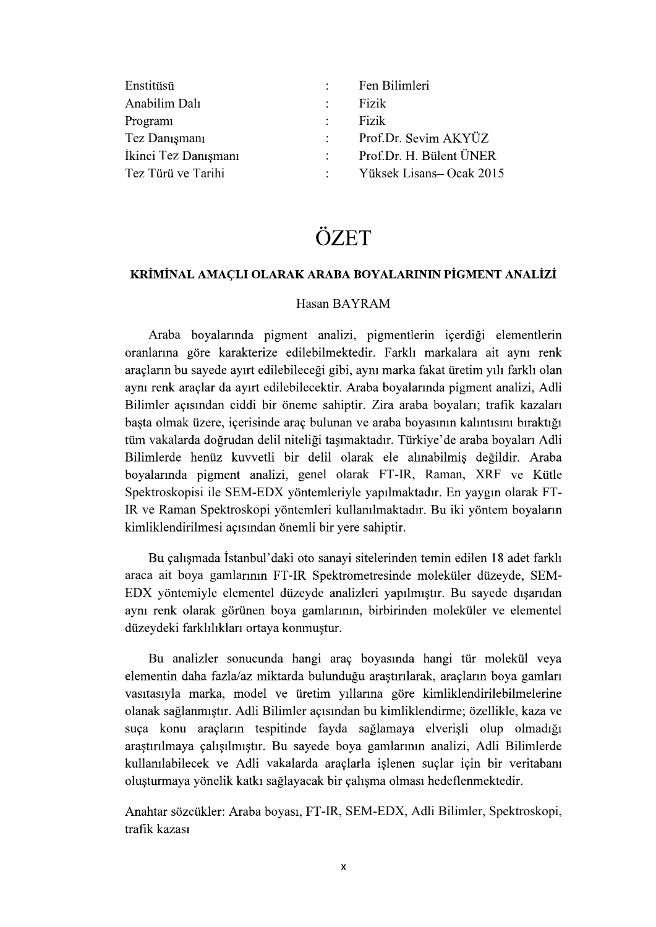| Enstitüsü            | $\mathcal{L}$            | Fen Bilimleri            |
|----------------------|--------------------------|--------------------------|
| Anabilim Dalı        | $\mathcal{L}$            | Fizik                    |
| Program              | $\mathcal{L}$            | Fizik                    |
| Tez Danışmanı        | $\mathcal{L}$            | Prof.Dr. Sevim AKYÜZ     |
| İkinci Tez Danışmanı | <b>Contract Contract</b> | Prof.Dr. H. Bülent ÜNER  |
| Tez Türü ve Tarihi   |                          | Yüksek Lisans– Ocak 2015 |

# ÖZET

### KRİMİNAL AMACLI OLARAK ARABA BOYALARININ PİGMENT ANALİZİ

#### Hasan BAYRAM

Araba boyalarında pigment analizi, pigmentlerin içerdiği elementlerin oranlarına göre karakterize edilebilmektedir. Farklı markalara ait aynı renk aracların bu sayede ayırt edilebileceği gibi, aynı marka fakat üretim yılı farklı olan aynı renk araçlar da ayırt edilebilecektir. Araba boyalarında pigment analizi, Adli Bilimler acısından ciddi bir öneme sahiptir. Zira araba boyaları: trafik kazaları başta olmak üzere, içerisinde araç bulunan ve araba boyasının kalıntısını bıraktığı tüm vakalarda doğrudan delil niteliği tasımaktadır. Türkiye'de araba boyaları Adli Bilimlerde henüz kuvvetli bir delil olarak ele alınabilmiş değildir. Araba boyalarında pigment analizi, genel olarak FT-IR, Raman, XRF ve Kütle Spektroskopisi ile SEM-EDX yöntemleriyle yapılmaktadır. En yaygın olarak FT-IR ve Raman Spektroskopi yöntemleri kullanılmaktadır. Bu iki yöntem boyaların kimliklendirilmesi açısından önemli bir yere sahiptir.

Bu çalışmada İstanbul'daki oto sanayi sitelerinden temin edilen 18 adet farklı araca ait boya gamlarının FT-IR Spektrometresinde moleküler düzeyde, SEM-EDX yöntemiyle elementel düzeyde analizleri yapılmıştır. Bu sayede dışarıdan aynı renk olarak görünen boya gamlarının, birbirinden moleküler ve elementel düzeydeki farklılıkları ortaya konmuştur.

Bu analizler sonucunda hangi arac boyasında hangi tür molekül veya elementin daha fazla/az miktarda bulunduğu araştırılarak, araçların boya gamları vasıtasıyla marka, model ve üretim yıllarına göre kimliklendirilebilmelerine olanak sağlanmıştır. Adli Bilimler açısından bu kimliklendirme; özellikle, kaza ve suça konu araçların tespitinde fayda sağlamaya elverişli olup olmadığı arastırılmaya çalışılmıştır. Bu sayede boya gamlarının analizi, Adli Bilimlerde kullanılabilecek ve Adli vakalarda araçlarla işlenen suçlar için bir veritabanı oluşturmaya yönelik katkı sağlayacak bir çalışma olması hedeflenmektedir.

Anahtar sözcükler: Araba boyası, FT-IR, SEM-EDX, Adli Bilimler, Spektroskopi, trafik kazası